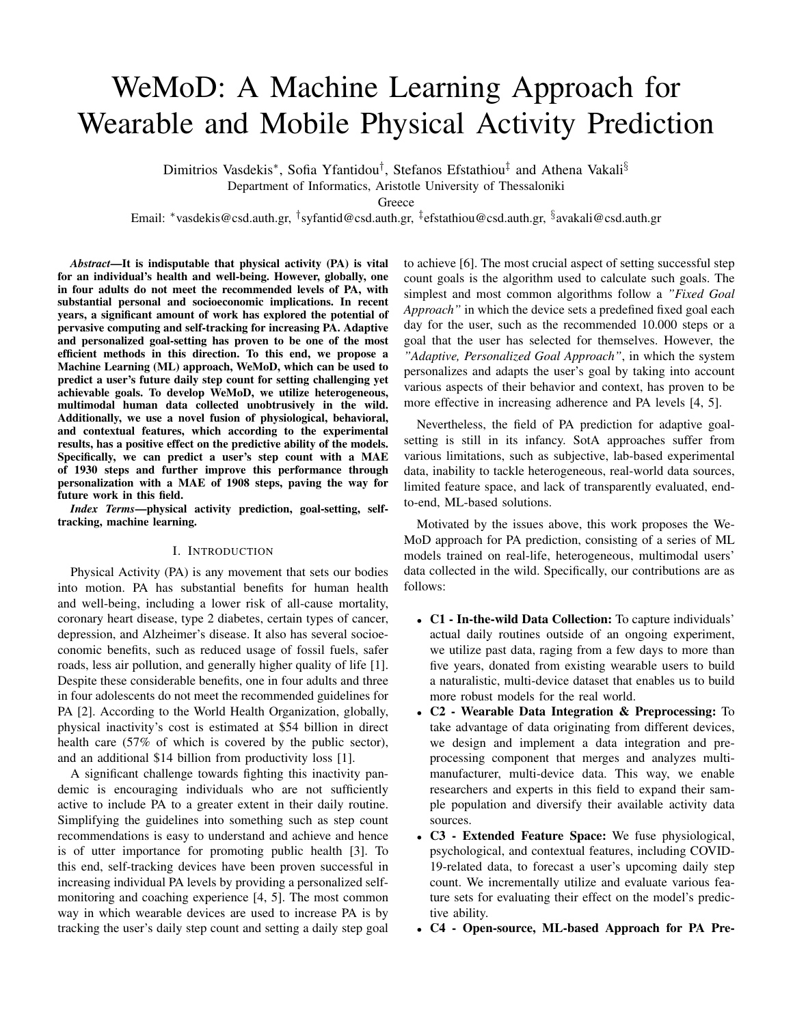# WeMoD: A Machine Learning Approach for Wearable and Mobile Physical Activity Prediction

Dimitrios Vasdekis\*, Sofia Yfantidou<sup>†</sup>, Stefanos Efstathiou<sup>‡</sup> and Athena Vakali<sup>§</sup>

Department of Informatics, Aristotle University of Thessaloniki

**Greece** 

Email: \*vasdekis@csd.auth.gr, <sup>†</sup>syfantid@csd.auth.gr, <sup>‡</sup>efstathiou@csd.auth.gr, <sup>§</sup>avakali@csd.auth.gr

*Abstract*—It is indisputable that physical activity (PA) is vital for an individual's health and well-being. However, globally, one in four adults do not meet the recommended levels of PA, with substantial personal and socioeconomic implications. In recent years, a significant amount of work has explored the potential of pervasive computing and self-tracking for increasing PA. Adaptive and personalized goal-setting has proven to be one of the most efficient methods in this direction. To this end, we propose a Machine Learning (ML) approach, WeMoD, which can be used to predict a user's future daily step count for setting challenging yet achievable goals. To develop WeMoD, we utilize heterogeneous, multimodal human data collected unobtrusively in the wild. Additionally, we use a novel fusion of physiological, behavioral, and contextual features, which according to the experimental results, has a positive effect on the predictive ability of the models. Specifically, we can predict a user's step count with a MAE of 1930 steps and further improve this performance through personalization with a MAE of 1908 steps, paving the way for future work in this field.

*Index Terms*—physical activity prediction, goal-setting, selftracking, machine learning.

## I. INTRODUCTION

Physical Activity (PA) is any movement that sets our bodies into motion. PA has substantial benefits for human health and well-being, including a lower risk of all-cause mortality, coronary heart disease, type 2 diabetes, certain types of cancer, depression, and Alzheimer's disease. It also has several socioeconomic benefits, such as reduced usage of fossil fuels, safer roads, less air pollution, and generally higher quality of life [1]. Despite these considerable benefits, one in four adults and three in four adolescents do not meet the recommended guidelines for PA [2]. According to the World Health Organization, globally, physical inactivity's cost is estimated at \$54 billion in direct health care (57% of which is covered by the public sector), and an additional \$14 billion from productivity loss [1].

A significant challenge towards fighting this inactivity pandemic is encouraging individuals who are not sufficiently active to include PA to a greater extent in their daily routine. Simplifying the guidelines into something such as step count recommendations is easy to understand and achieve and hence is of utter importance for promoting public health [3]. To this end, self-tracking devices have been proven successful in increasing individual PA levels by providing a personalized selfmonitoring and coaching experience [4, 5]. The most common way in which wearable devices are used to increase PA is by tracking the user's daily step count and setting a daily step goal

to achieve [6]. The most crucial aspect of setting successful step count goals is the algorithm used to calculate such goals. The simplest and most common algorithms follow a *"Fixed Goal Approach"* in which the device sets a predefined fixed goal each day for the user, such as the recommended 10.000 steps or a goal that the user has selected for themselves. However, the *"Adaptive, Personalized Goal Approach"*, in which the system personalizes and adapts the user's goal by taking into account various aspects of their behavior and context, has proven to be more effective in increasing adherence and PA levels [4, 5].

Nevertheless, the field of PA prediction for adaptive goalsetting is still in its infancy. SotA approaches suffer from various limitations, such as subjective, lab-based experimental data, inability to tackle heterogeneous, real-world data sources, limited feature space, and lack of transparently evaluated, endto-end, ML-based solutions.

Motivated by the issues above, this work proposes the We-MoD approach for PA prediction, consisting of a series of ML models trained on real-life, heterogeneous, multimodal users' data collected in the wild. Specifically, our contributions are as follows:

- C1 In-the-wild Data Collection: To capture individuals' actual daily routines outside of an ongoing experiment, we utilize past data, raging from a few days to more than five years, donated from existing wearable users to build a naturalistic, multi-device dataset that enables us to build more robust models for the real world.
- C2 Wearable Data Integration & Preprocessing: To take advantage of data originating from different devices, we design and implement a data integration and preprocessing component that merges and analyzes multimanufacturer, multi-device data. This way, we enable researchers and experts in this field to expand their sample population and diversify their available activity data sources.
- C3 Extended Feature Space: We fuse physiological, psychological, and contextual features, including COVID-19-related data, to forecast a user's upcoming daily step count. We incrementally utilize and evaluate various feature sets for evaluating their effect on the model's predictive ability.
- C4 Open-source, ML-based Approach for PA Pre-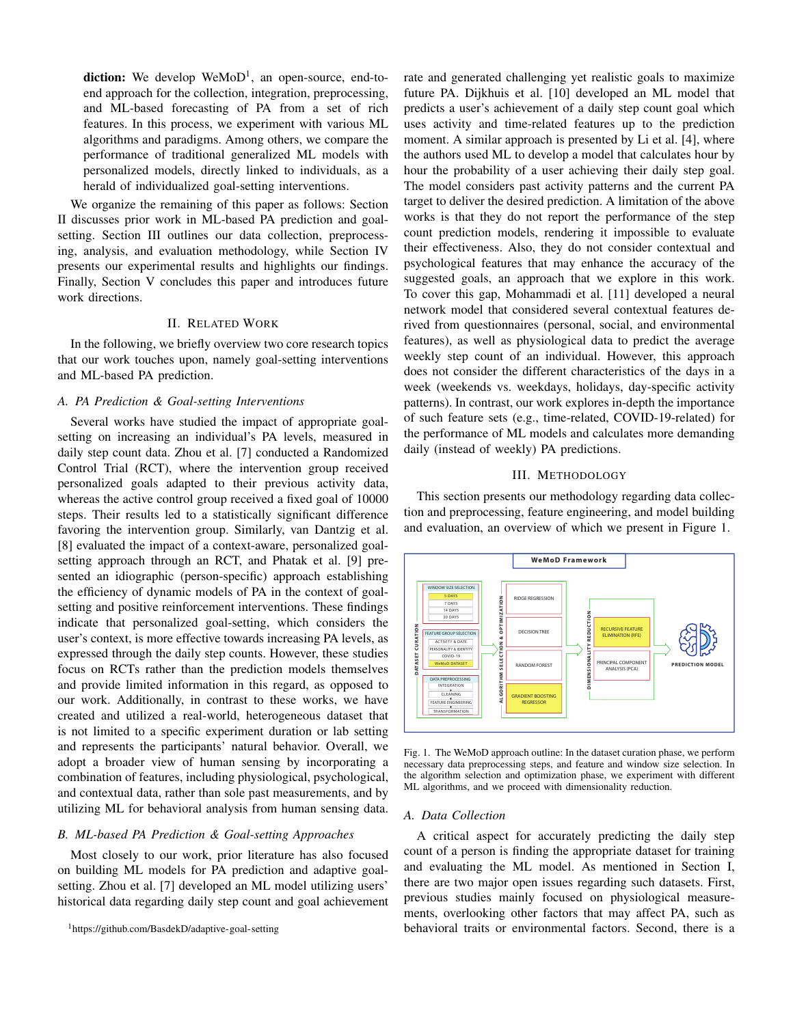diction: We develop WeMoD<sup>1</sup>, an open-source, end-toend approach for the collection, integration, preprocessing, and ML-based forecasting of PA from a set of rich features. In this process, we experiment with various ML algorithms and paradigms. Among others, we compare the performance of traditional generalized ML models with personalized models, directly linked to individuals, as a herald of individualized goal-setting interventions.

We organize the remaining of this paper as follows: Section II discusses prior work in ML-based PA prediction and goalsetting. Section III outlines our data collection, preprocessing, analysis, and evaluation methodology, while Section IV presents our experimental results and highlights our findings. Finally, Section V concludes this paper and introduces future work directions.

# II. RELATED WORK

In the following, we briefly overview two core research topics that our work touches upon, namely goal-setting interventions and ML-based PA prediction.

#### *A. PA Prediction & Goal-setting Interventions*

Several works have studied the impact of appropriate goalsetting on increasing an individual's PA levels, measured in daily step count data. Zhou et al. [7] conducted a Randomized Control Trial (RCT), where the intervention group received personalized goals adapted to their previous activity data, whereas the active control group received a fixed goal of 10000 steps. Their results led to a statistically significant difference favoring the intervention group. Similarly, van Dantzig et al. [8] evaluated the impact of a context-aware, personalized goalsetting approach through an RCT, and Phatak et al. [9] presented an idiographic (person-specific) approach establishing the efficiency of dynamic models of PA in the context of goalsetting and positive reinforcement interventions. These findings indicate that personalized goal-setting, which considers the user's context, is more effective towards increasing PA levels, as expressed through the daily step counts. However, these studies focus on RCTs rather than the prediction models themselves and provide limited information in this regard, as opposed to our work. Additionally, in contrast to these works, we have created and utilized a real-world, heterogeneous dataset that is not limited to a specific experiment duration or lab setting and represents the participants' natural behavior. Overall, we adopt a broader view of human sensing by incorporating a combination of features, including physiological, psychological, and contextual data, rather than sole past measurements, and by utilizing ML for behavioral analysis from human sensing data.

# *B. ML-based PA Prediction & Goal-setting Approaches*

Most closely to our work, prior literature has also focused on building ML models for PA prediction and adaptive goalsetting. Zhou et al. [7] developed an ML model utilizing users' historical data regarding daily step count and goal achievement

<sup>1</sup>https://github.com/BasdekD/adaptive-goal-setting

rate and generated challenging yet realistic goals to maximize future PA. Dijkhuis et al. [10] developed an ML model that predicts a user's achievement of a daily step count goal which uses activity and time-related features up to the prediction moment. A similar approach is presented by Li et al. [4], where the authors used ML to develop a model that calculates hour by hour the probability of a user achieving their daily step goal. The model considers past activity patterns and the current PA target to deliver the desired prediction. A limitation of the above works is that they do not report the performance of the step count prediction models, rendering it impossible to evaluate their effectiveness. Also, they do not consider contextual and psychological features that may enhance the accuracy of the suggested goals, an approach that we explore in this work. To cover this gap, Mohammadi et al. [11] developed a neural network model that considered several contextual features derived from questionnaires (personal, social, and environmental features), as well as physiological data to predict the average weekly step count of an individual. However, this approach does not consider the different characteristics of the days in a week (weekends vs. weekdays, holidays, day-specific activity patterns). In contrast, our work explores in-depth the importance of such feature sets (e.g., time-related, COVID-19-related) for the performance of ML models and calculates more demanding daily (instead of weekly) PA predictions.

#### III. METHODOLOGY

This section presents our methodology regarding data collection and preprocessing, feature engineering, and model building and evaluation, an overview of which we present in Figure 1.



Fig. 1. The WeMoD approach outline: In the dataset curation phase, we perform necessary data preprocessing steps, and feature and window size selection. In the algorithm selection and optimization phase, we experiment with different ML algorithms, and we proceed with dimensionality reduction.

#### *A. Data Collection*

A critical aspect for accurately predicting the daily step count of a person is finding the appropriate dataset for training and evaluating the ML model. As mentioned in Section I, there are two major open issues regarding such datasets. First, previous studies mainly focused on physiological measurements, overlooking other factors that may affect PA, such as behavioral traits or environmental factors. Second, there is a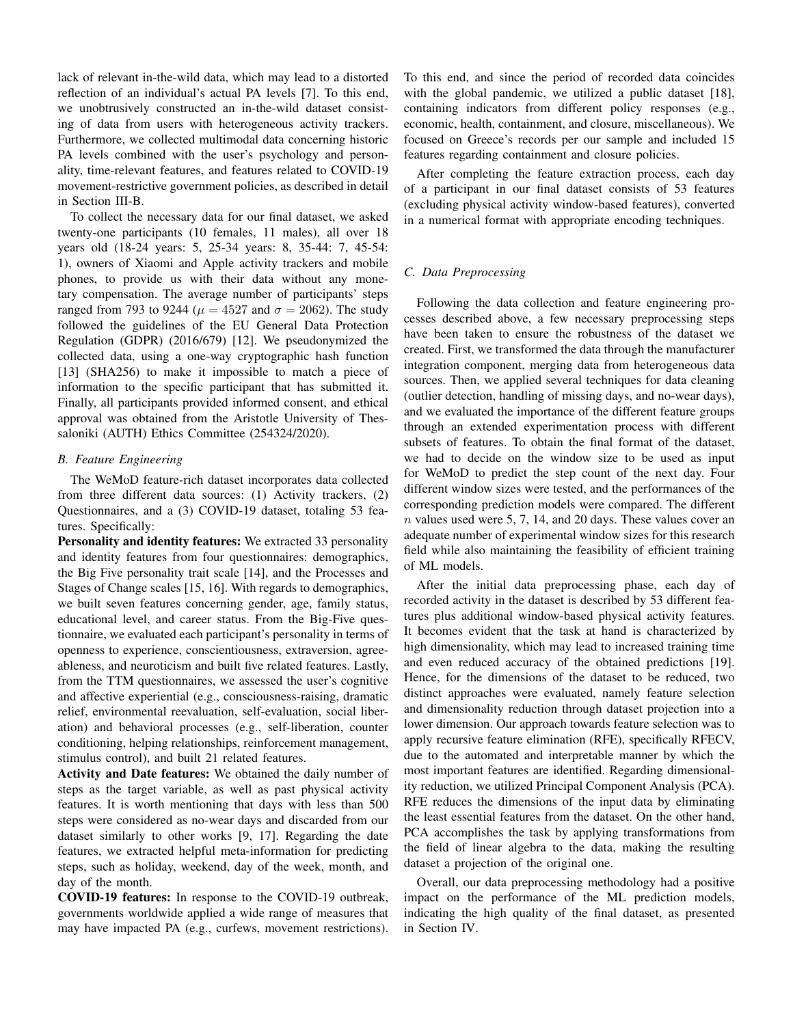lack of relevant in-the-wild data, which may lead to a distorted reflection of an individual's actual PA levels [7]. To this end, we unobtrusively constructed an in-the-wild dataset consisting of data from users with heterogeneous activity trackers. Furthermore, we collected multimodal data concerning historic PA levels combined with the user's psychology and personality, time-relevant features, and features related to COVID-19 movement-restrictive government policies, as described in detail in Section III-B.

To collect the necessary data for our final dataset, we asked twenty-one participants (10 females, 11 males), all over 18 years old (18-24 years: 5, 25-34 years: 8, 35-44: 7, 45-54: 1), owners of Xiaomi and Apple activity trackers and mobile phones, to provide us with their data without any monetary compensation. The average number of participants' steps ranged from 793 to 9244 ( $\mu = 4527$  and  $\sigma = 2062$ ). The study followed the guidelines of the EU General Data Protection Regulation (GDPR) (2016/679) [12]. We pseudonymized the collected data, using a one-way cryptographic hash function [13] (SHA256) to make it impossible to match a piece of information to the specific participant that has submitted it. Finally, all participants provided informed consent, and ethical approval was obtained from the Aristotle University of Thessaloniki (AUTH) Ethics Committee (254324/2020).

## *B. Feature Engineering*

The WeMoD feature-rich dataset incorporates data collected from three different data sources: (1) Activity trackers, (2) Questionnaires, and a (3) COVID-19 dataset, totaling 53 features. Specifically:

Personality and identity features: We extracted 33 personality and identity features from four questionnaires: demographics, the Big Five personality trait scale [14], and the Processes and Stages of Change scales [15, 16]. With regards to demographics, we built seven features concerning gender, age, family status, educational level, and career status. From the Big-Five questionnaire, we evaluated each participant's personality in terms of openness to experience, conscientiousness, extraversion, agreeableness, and neuroticism and built five related features. Lastly, from the TTM questionnaires, we assessed the user's cognitive and affective experiential (e.g., consciousness-raising, dramatic relief, environmental reevaluation, self-evaluation, social liberation) and behavioral processes (e.g., self-liberation, counter conditioning, helping relationships, reinforcement management, stimulus control), and built 21 related features.

Activity and Date features: We obtained the daily number of steps as the target variable, as well as past physical activity features. It is worth mentioning that days with less than 500 steps were considered as no-wear days and discarded from our dataset similarly to other works [9, 17]. Regarding the date features, we extracted helpful meta-information for predicting steps, such as holiday, weekend, day of the week, month, and day of the month.

COVID-19 features: In response to the COVID-19 outbreak, governments worldwide applied a wide range of measures that may have impacted PA (e.g., curfews, movement restrictions). To this end, and since the period of recorded data coincides with the global pandemic, we utilized a public dataset [18], containing indicators from different policy responses (e.g., economic, health, containment, and closure, miscellaneous). We focused on Greece's records per our sample and included 15 features regarding containment and closure policies.

After completing the feature extraction process, each day of a participant in our final dataset consists of 53 features (excluding physical activity window-based features), converted in a numerical format with appropriate encoding techniques.

# *C. Data Preprocessing*

Following the data collection and feature engineering processes described above, a few necessary preprocessing steps have been taken to ensure the robustness of the dataset we created. First, we transformed the data through the manufacturer integration component, merging data from heterogeneous data sources. Then, we applied several techniques for data cleaning (outlier detection, handling of missing days, and no-wear days), and we evaluated the importance of the different feature groups through an extended experimentation process with different subsets of features. To obtain the final format of the dataset, we had to decide on the window size to be used as input for WeMoD to predict the step count of the next day. Four different window sizes were tested, and the performances of the corresponding prediction models were compared. The different  $n$  values used were 5, 7, 14, and 20 days. These values cover an adequate number of experimental window sizes for this research field while also maintaining the feasibility of efficient training of ML models.

After the initial data preprocessing phase, each day of recorded activity in the dataset is described by 53 different features plus additional window-based physical activity features. It becomes evident that the task at hand is characterized by high dimensionality, which may lead to increased training time and even reduced accuracy of the obtained predictions [19]. Hence, for the dimensions of the dataset to be reduced, two distinct approaches were evaluated, namely feature selection and dimensionality reduction through dataset projection into a lower dimension. Our approach towards feature selection was to apply recursive feature elimination (RFE), specifically RFECV, due to the automated and interpretable manner by which the most important features are identified. Regarding dimensionality reduction, we utilized Principal Component Analysis (PCA). RFE reduces the dimensions of the input data by eliminating the least essential features from the dataset. On the other hand, PCA accomplishes the task by applying transformations from the field of linear algebra to the data, making the resulting dataset a projection of the original one.

Overall, our data preprocessing methodology had a positive impact on the performance of the ML prediction models, indicating the high quality of the final dataset, as presented in Section IV.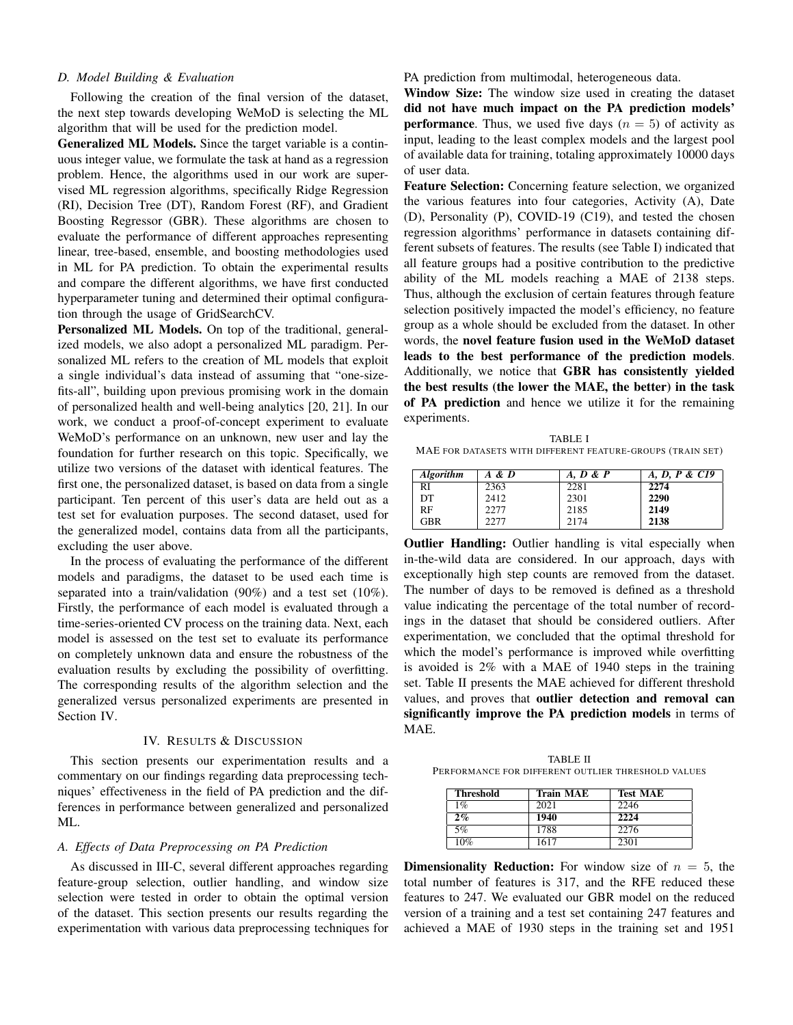# *D. Model Building & Evaluation*

Following the creation of the final version of the dataset, the next step towards developing WeMoD is selecting the ML algorithm that will be used for the prediction model.

Generalized ML Models. Since the target variable is a continuous integer value, we formulate the task at hand as a regression problem. Hence, the algorithms used in our work are supervised ML regression algorithms, specifically Ridge Regression (RI), Decision Tree (DT), Random Forest (RF), and Gradient Boosting Regressor (GBR). These algorithms are chosen to evaluate the performance of different approaches representing linear, tree-based, ensemble, and boosting methodologies used in ML for PA prediction. To obtain the experimental results and compare the different algorithms, we have first conducted hyperparameter tuning and determined their optimal configuration through the usage of GridSearchCV.

Personalized ML Models. On top of the traditional, generalized models, we also adopt a personalized ML paradigm. Personalized ML refers to the creation of ML models that exploit a single individual's data instead of assuming that "one-sizefits-all", building upon previous promising work in the domain of personalized health and well-being analytics [20, 21]. In our work, we conduct a proof-of-concept experiment to evaluate WeMoD's performance on an unknown, new user and lay the foundation for further research on this topic. Specifically, we utilize two versions of the dataset with identical features. The first one, the personalized dataset, is based on data from a single participant. Ten percent of this user's data are held out as a test set for evaluation purposes. The second dataset, used for the generalized model, contains data from all the participants, excluding the user above.

In the process of evaluating the performance of the different models and paradigms, the dataset to be used each time is separated into a train/validation (90%) and a test set (10%). Firstly, the performance of each model is evaluated through a time-series-oriented CV process on the training data. Next, each model is assessed on the test set to evaluate its performance on completely unknown data and ensure the robustness of the evaluation results by excluding the possibility of overfitting. The corresponding results of the algorithm selection and the generalized versus personalized experiments are presented in Section IV.

#### IV. RESULTS & DISCUSSION

This section presents our experimentation results and a commentary on our findings regarding data preprocessing techniques' effectiveness in the field of PA prediction and the differences in performance between generalized and personalized ML.

# *A. Effects of Data Preprocessing on PA Prediction*

As discussed in III-C, several different approaches regarding feature-group selection, outlier handling, and window size selection were tested in order to obtain the optimal version of the dataset. This section presents our results regarding the experimentation with various data preprocessing techniques for PA prediction from multimodal, heterogeneous data.

Window Size: The window size used in creating the dataset did not have much impact on the PA prediction models' **performance**. Thus, we used five days  $(n = 5)$  of activity as input, leading to the least complex models and the largest pool of available data for training, totaling approximately 10000 days of user data.

Feature Selection: Concerning feature selection, we organized the various features into four categories, Activity (A), Date (D), Personality (P), COVID-19 (C19), and tested the chosen regression algorithms' performance in datasets containing different subsets of features. The results (see Table I) indicated that all feature groups had a positive contribution to the predictive ability of the ML models reaching a MAE of 2138 steps. Thus, although the exclusion of certain features through feature selection positively impacted the model's efficiency, no feature group as a whole should be excluded from the dataset. In other words, the novel feature fusion used in the WeMoD dataset leads to the best performance of the prediction models. Additionally, we notice that GBR has consistently yielded the best results (the lower the MAE, the better) in the task of PA prediction and hence we utilize it for the remaining experiments.

TABLE I MAE FOR DATASETS WITH DIFFERENT FEATURE-GROUPS (TRAIN SET)

| <b>Algorithm</b> | A & D | A, D & P | A, D, P & C19 |
|------------------|-------|----------|---------------|
| RI               | 2363  | 2281     | 2274          |
| DT               | 2412  | 2301     | 2290          |
| RF               | 2277  | 2185     | 2149          |
| <b>GBR</b>       | 2277  | 2174     | 2138          |

**Outlier Handling:** Outlier handling is vital especially when in-the-wild data are considered. In our approach, days with exceptionally high step counts are removed from the dataset. The number of days to be removed is defined as a threshold value indicating the percentage of the total number of recordings in the dataset that should be considered outliers. After experimentation, we concluded that the optimal threshold for which the model's performance is improved while overfitting is avoided is 2% with a MAE of 1940 steps in the training set. Table II presents the MAE achieved for different threshold values, and proves that outlier detection and removal can significantly improve the PA prediction models in terms of MAE.

TABLE II PERFORMANCE FOR DIFFERENT OUTLIER THRESHOLD VALUES

| <b>Threshold</b> | <b>Train MAE</b> | <b>Test MAE</b> |
|------------------|------------------|-----------------|
| 1%               | 2021             | 2246            |
| 2%               | 1940             | 2224            |
| 5%               | 1788             | 2276            |
| 10%              | 1617             | 2301            |

**Dimensionality Reduction:** For window size of  $n = 5$ , the total number of features is 317, and the RFE reduced these features to 247. We evaluated our GBR model on the reduced version of a training and a test set containing 247 features and achieved a MAE of 1930 steps in the training set and 1951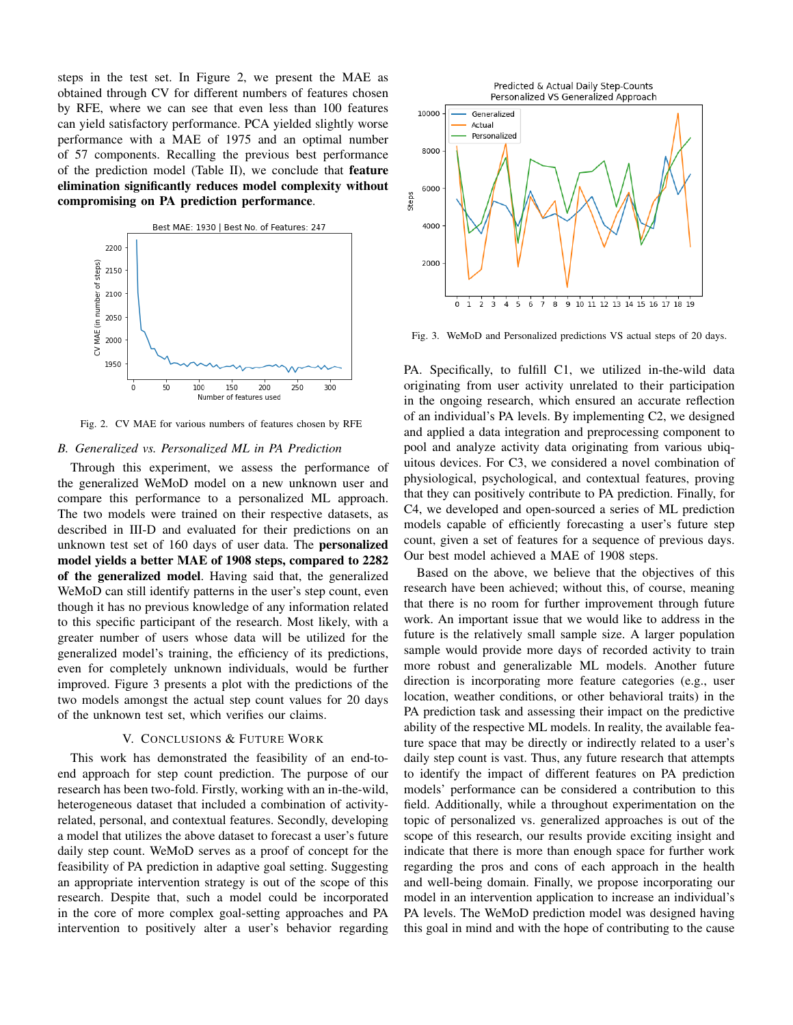steps in the test set. In Figure 2, we present the MAE as obtained through CV for different numbers of features chosen by RFE, where we can see that even less than 100 features can yield satisfactory performance. PCA yielded slightly worse performance with a MAE of 1975 and an optimal number of 57 components. Recalling the previous best performance of the prediction model (Table II), we conclude that feature elimination significantly reduces model complexity without compromising on PA prediction performance.



Fig. 2. CV MAE for various numbers of features chosen by RFE

# *B. Generalized vs. Personalized ML in PA Prediction*

Through this experiment, we assess the performance of the generalized WeMoD model on a new unknown user and compare this performance to a personalized ML approach. The two models were trained on their respective datasets, as described in III-D and evaluated for their predictions on an unknown test set of 160 days of user data. The personalized model yields a better MAE of 1908 steps, compared to 2282 of the generalized model. Having said that, the generalized WeMoD can still identify patterns in the user's step count, even though it has no previous knowledge of any information related to this specific participant of the research. Most likely, with a greater number of users whose data will be utilized for the generalized model's training, the efficiency of its predictions, even for completely unknown individuals, would be further improved. Figure 3 presents a plot with the predictions of the two models amongst the actual step count values for 20 days of the unknown test set, which verifies our claims.

## V. CONCLUSIONS & FUTURE WORK

This work has demonstrated the feasibility of an end-toend approach for step count prediction. The purpose of our research has been two-fold. Firstly, working with an in-the-wild, heterogeneous dataset that included a combination of activityrelated, personal, and contextual features. Secondly, developing a model that utilizes the above dataset to forecast a user's future daily step count. WeMoD serves as a proof of concept for the feasibility of PA prediction in adaptive goal setting. Suggesting an appropriate intervention strategy is out of the scope of this research. Despite that, such a model could be incorporated in the core of more complex goal-setting approaches and PA intervention to positively alter a user's behavior regarding



Fig. 3. WeMoD and Personalized predictions VS actual steps of 20 days.

PA. Specifically, to fulfill C1, we utilized in-the-wild data originating from user activity unrelated to their participation in the ongoing research, which ensured an accurate reflection of an individual's PA levels. By implementing C2, we designed and applied a data integration and preprocessing component to pool and analyze activity data originating from various ubiquitous devices. For C3, we considered a novel combination of physiological, psychological, and contextual features, proving that they can positively contribute to PA prediction. Finally, for C4, we developed and open-sourced a series of ML prediction models capable of efficiently forecasting a user's future step count, given a set of features for a sequence of previous days. Our best model achieved a MAE of 1908 steps.

Based on the above, we believe that the objectives of this research have been achieved; without this, of course, meaning that there is no room for further improvement through future work. An important issue that we would like to address in the future is the relatively small sample size. A larger population sample would provide more days of recorded activity to train more robust and generalizable ML models. Another future direction is incorporating more feature categories (e.g., user location, weather conditions, or other behavioral traits) in the PA prediction task and assessing their impact on the predictive ability of the respective ML models. In reality, the available feature space that may be directly or indirectly related to a user's daily step count is vast. Thus, any future research that attempts to identify the impact of different features on PA prediction models' performance can be considered a contribution to this field. Additionally, while a throughout experimentation on the topic of personalized vs. generalized approaches is out of the scope of this research, our results provide exciting insight and indicate that there is more than enough space for further work regarding the pros and cons of each approach in the health and well-being domain. Finally, we propose incorporating our model in an intervention application to increase an individual's PA levels. The WeMoD prediction model was designed having this goal in mind and with the hope of contributing to the cause